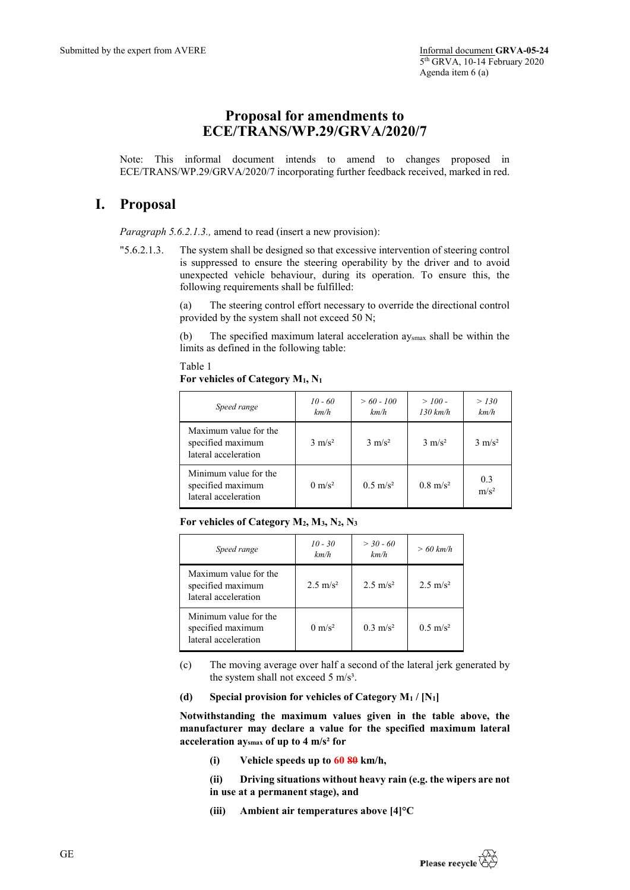## **Proposal for amendments to ECE/TRANS/WP.29/GRVA/2020/7**

Note: This informal document intends to amend to changes proposed in ECE/TRANS/WP.29/GRVA/2020/7 incorporating further feedback received, marked in red.

## **I. Proposal**

*Paragraph 5.6.2.1.3.,* amend to read (insert a new provision):

"5.6.2.1.3. The system shall be designed so that excessive intervention of steering control is suppressed to ensure the steering operability by the driver and to avoid unexpected vehicle behaviour, during its operation. To ensure this, the following requirements shall be fulfilled:

> (a) The steering control effort necessary to override the directional control provided by the system shall not exceed 50 N;

> (b) The specified maximum lateral acceleration aysmax shall be within the limits as defined in the following table:

Table 1

**For vehicles of Category M1, N1**

| Speed range                                                        | $10 - 60$<br>km/h | $> 60 - 100$<br>km/h | $> 100 -$<br>$130 \ km/h$ | > 130<br>km/h           |
|--------------------------------------------------------------------|-------------------|----------------------|---------------------------|-------------------------|
| Maximum value for the<br>specified maximum<br>lateral acceleration | $3 \text{ m/s}^2$ | $3 \text{ m/s}^2$    | $3 \text{ m/s}^2$         | $3 \text{ m/s}^2$       |
| Minimum value for the<br>specified maximum<br>lateral acceleration | $0 \text{ m/s}^2$ | $0.5 \text{ m/s}^2$  | $0.8 \text{ m/s}^2$       | 0.3<br>m/s <sup>2</sup> |

**For vehicles of Category M2, M3, N2, N3**

| Speed range                                                        | $10 - 30$<br>km/h   | $> 30 - 60$<br>km/h | $>60$ km/h          |
|--------------------------------------------------------------------|---------------------|---------------------|---------------------|
| Maximum value for the<br>specified maximum<br>lateral acceleration | $2.5 \text{ m/s}^2$ | $2.5 \text{ m/s}^2$ | $2.5 \text{ m/s}^2$ |
| Minimum value for the<br>specified maximum<br>lateral acceleration | $0 \text{ m/s}^2$   | $0.3 \text{ m/s}^2$ | $0.5 \text{ m/s}^2$ |

(c) The moving average over half a second of the lateral jerk generated by the system shall not exceed 5 m/s<sup>3</sup>.

## **(d) Special provision for vehicles of Category M1 / [N1]**

**Notwithstanding the maximum values given in the table above, the manufacturer may declare a value for the specified maximum lateral acceleration aysmax of up to 4 m/s² for** 

- **(i) Vehicle speeds up to 60 80 km/h,**
- **(ii) Driving situations without heavy rain (e.g. the wipers are not in use at a permanent stage), and**
- **(iii) Ambient air temperatures above [4]°C**